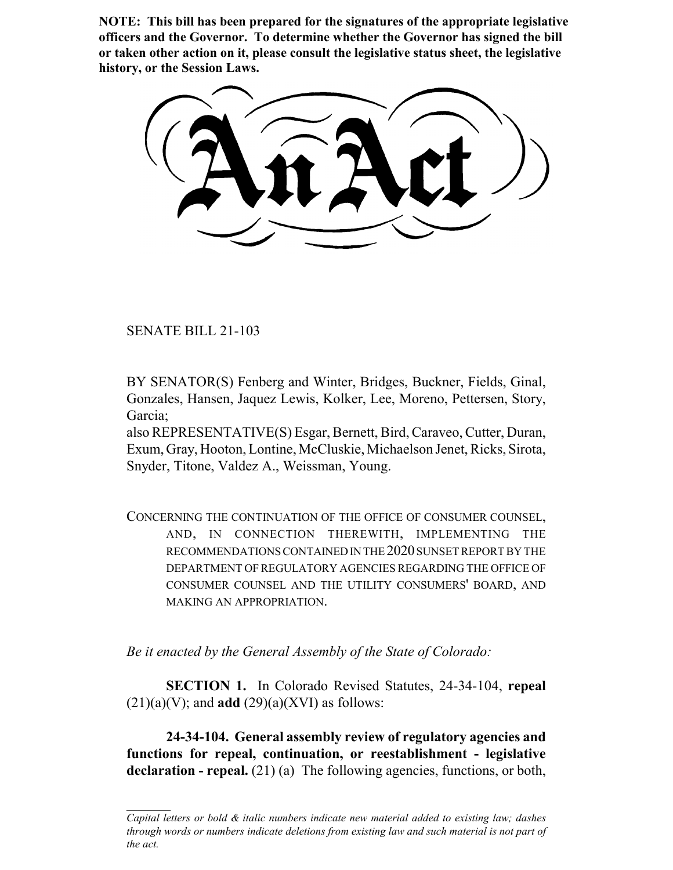**NOTE: This bill has been prepared for the signatures of the appropriate legislative officers and the Governor. To determine whether the Governor has signed the bill or taken other action on it, please consult the legislative status sheet, the legislative history, or the Session Laws.**

SENATE BILL 21-103

BY SENATOR(S) Fenberg and Winter, Bridges, Buckner, Fields, Ginal, Gonzales, Hansen, Jaquez Lewis, Kolker, Lee, Moreno, Pettersen, Story, Garcia;

also REPRESENTATIVE(S) Esgar, Bernett, Bird, Caraveo, Cutter, Duran, Exum, Gray, Hooton, Lontine, McCluskie, Michaelson Jenet, Ricks, Sirota, Snyder, Titone, Valdez A., Weissman, Young.

CONCERNING THE CONTINUATION OF THE OFFICE OF CONSUMER COUNSEL, AND, IN CONNECTION THEREWITH, IMPLEMENTING THE RECOMMENDATIONS CONTAINED IN THE 2020 SUNSET REPORT BY THE DEPARTMENT OF REGULATORY AGENCIES REGARDING THE OFFICE OF CONSUMER COUNSEL AND THE UTILITY CONSUMERS' BOARD, AND MAKING AN APPROPRIATION.

*Be it enacted by the General Assembly of the State of Colorado:*

**SECTION 1.** In Colorado Revised Statutes, 24-34-104, **repeal**  $(21)(a)(V)$ ; and **add**  $(29)(a)(XVI)$  as follows:

**24-34-104. General assembly review of regulatory agencies and functions for repeal, continuation, or reestablishment - legislative declaration - repeal.** (21) (a) The following agencies, functions, or both,

*Capital letters or bold & italic numbers indicate new material added to existing law; dashes through words or numbers indicate deletions from existing law and such material is not part of the act.*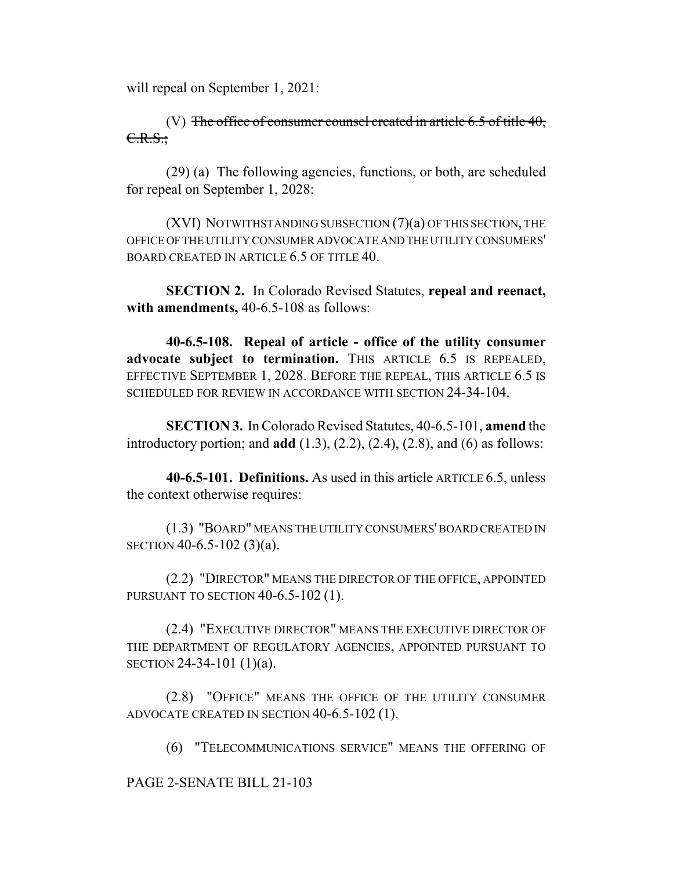will repeal on September 1, 2021:

(V) The office of consumer counsel created in article  $6.5$  of title  $40$ , C.R.S.;

(29) (a) The following agencies, functions, or both, are scheduled for repeal on September 1, 2028:

(XVI) NOTWITHSTANDING SUBSECTION (7)(a) OF THIS SECTION, THE OFFICE OF THE UTILITY CONSUMER ADVOCATE AND THE UTILITY CONSUMERS' BOARD CREATED IN ARTICLE 6.5 OF TITLE 40.

**SECTION 2.** In Colorado Revised Statutes, **repeal and reenact, with amendments,** 40-6.5-108 as follows:

**40-6.5-108. Repeal of article - office of the utility consumer advocate subject to termination.** THIS ARTICLE 6.5 IS REPEALED, EFFECTIVE SEPTEMBER 1, 2028. BEFORE THE REPEAL, THIS ARTICLE 6.5 IS SCHEDULED FOR REVIEW IN ACCORDANCE WITH SECTION 24-34-104.

**SECTION 3.** In Colorado Revised Statutes, 40-6.5-101, **amend** the introductory portion; and **add** (1.3), (2.2), (2.4), (2.8), and (6) as follows:

**40-6.5-101. Definitions.** As used in this article ARTICLE 6.5, unless the context otherwise requires:

(1.3) "BOARD" MEANS THE UTILITY CONSUMERS' BOARD CREATED IN SECTION 40-6.5-102 (3)(a).

(2.2) "DIRECTOR" MEANS THE DIRECTOR OF THE OFFICE, APPOINTED PURSUANT TO SECTION 40-6.5-102 (1).

(2.4) "EXECUTIVE DIRECTOR" MEANS THE EXECUTIVE DIRECTOR OF THE DEPARTMENT OF REGULATORY AGENCIES, APPOINTED PURSUANT TO SECTION 24-34-101 (1)(a).

(2.8) "OFFICE" MEANS THE OFFICE OF THE UTILITY CONSUMER ADVOCATE CREATED IN SECTION 40-6.5-102 (1).

(6) "TELECOMMUNICATIONS SERVICE" MEANS THE OFFERING OF

PAGE 2-SENATE BILL 21-103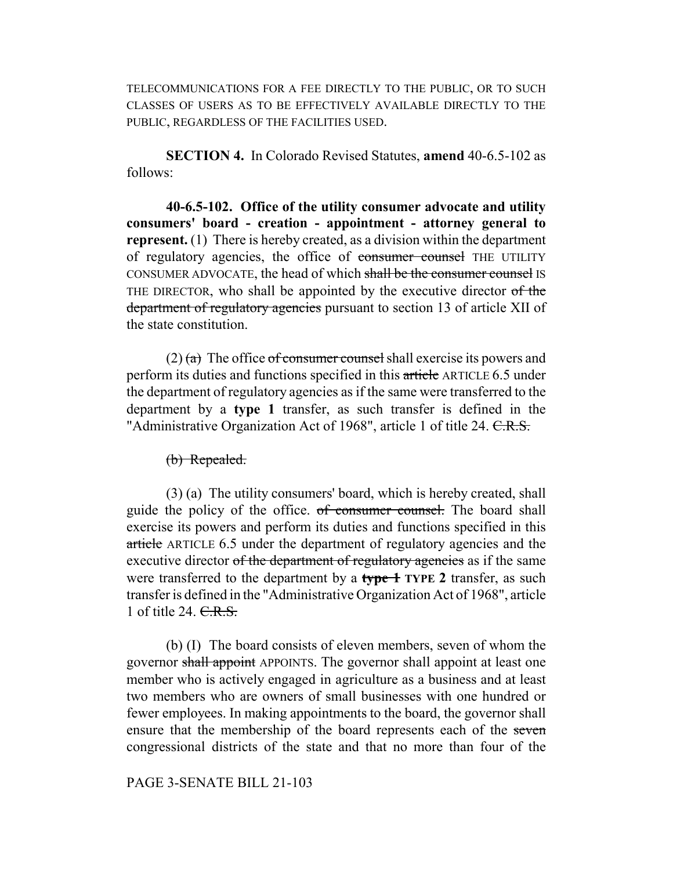TELECOMMUNICATIONS FOR A FEE DIRECTLY TO THE PUBLIC, OR TO SUCH CLASSES OF USERS AS TO BE EFFECTIVELY AVAILABLE DIRECTLY TO THE PUBLIC, REGARDLESS OF THE FACILITIES USED.

**SECTION 4.** In Colorado Revised Statutes, **amend** 40-6.5-102 as follows:

**40-6.5-102. Office of the utility consumer advocate and utility consumers' board - creation - appointment - attorney general to represent.** (1) There is hereby created, as a division within the department of regulatory agencies, the office of consumer counsel THE UTILITY CONSUMER ADVOCATE, the head of which shall be the consumer counsel IS THE DIRECTOR, who shall be appointed by the executive director of the department of regulatory agencies pursuant to section 13 of article XII of the state constitution.

 $(2)$  (a) The office of consumer counsel shall exercise its powers and perform its duties and functions specified in this article ARTICLE 6.5 under the department of regulatory agencies as if the same were transferred to the department by a **type 1** transfer, as such transfer is defined in the "Administrative Organization Act of 1968", article 1 of title 24. C.R.S.

(b) Repealed.

(3) (a) The utility consumers' board, which is hereby created, shall guide the policy of the office. of consumer counsel. The board shall exercise its powers and perform its duties and functions specified in this article ARTICLE 6.5 under the department of regulatory agencies and the executive director of the department of regulatory agencies as if the same were transferred to the department by a **type 1 TYPE 2** transfer, as such transfer is defined in the "Administrative Organization Act of 1968", article 1 of title 24. C.R.S.

(b) (I) The board consists of eleven members, seven of whom the governor shall appoint APPOINTS. The governor shall appoint at least one member who is actively engaged in agriculture as a business and at least two members who are owners of small businesses with one hundred or fewer employees. In making appointments to the board, the governor shall ensure that the membership of the board represents each of the seven congressional districts of the state and that no more than four of the

PAGE 3-SENATE BILL 21-103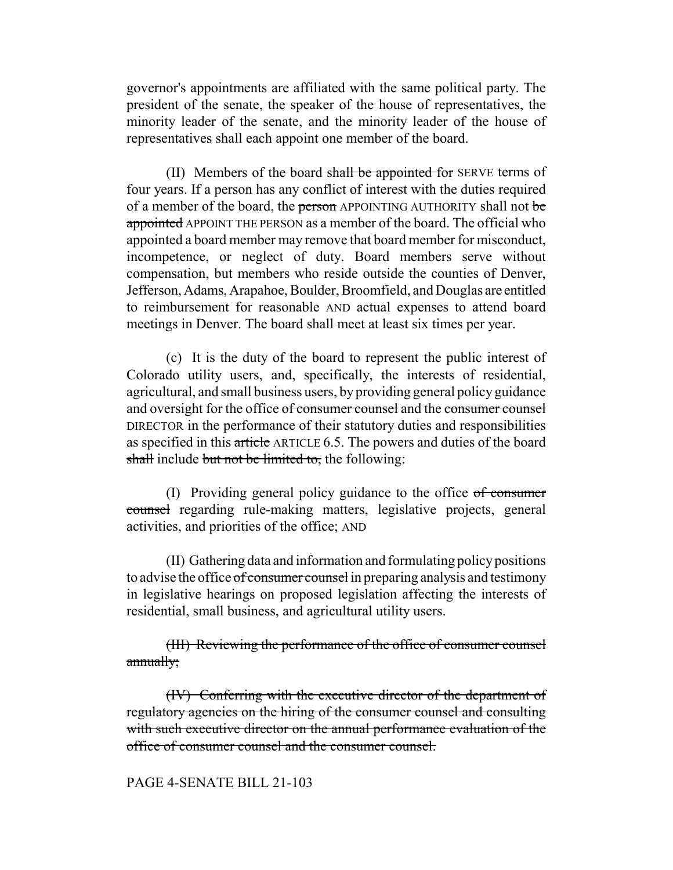governor's appointments are affiliated with the same political party. The president of the senate, the speaker of the house of representatives, the minority leader of the senate, and the minority leader of the house of representatives shall each appoint one member of the board.

(II) Members of the board shall be appointed for SERVE terms of four years. If a person has any conflict of interest with the duties required of a member of the board, the person APPOINTING AUTHORITY shall not be appointed APPOINT THE PERSON as a member of the board. The official who appointed a board member may remove that board member for misconduct, incompetence, or neglect of duty. Board members serve without compensation, but members who reside outside the counties of Denver, Jefferson, Adams, Arapahoe, Boulder, Broomfield, and Douglas are entitled to reimbursement for reasonable AND actual expenses to attend board meetings in Denver. The board shall meet at least six times per year.

(c) It is the duty of the board to represent the public interest of Colorado utility users, and, specifically, the interests of residential, agricultural, and small business users, by providing general policy guidance and oversight for the office of consumer counsel and the consumer counsel DIRECTOR in the performance of their statutory duties and responsibilities as specified in this article ARTICLE 6.5. The powers and duties of the board shall include but not be limited to, the following:

(I) Providing general policy guidance to the office  $of$  consumer counsel regarding rule-making matters, legislative projects, general activities, and priorities of the office; AND

(II) Gathering data and information and formulating policy positions to advise the office of consumer counsel in preparing analysis and testimony in legislative hearings on proposed legislation affecting the interests of residential, small business, and agricultural utility users.

(III) Reviewing the performance of the office of consumer counsel annually;

(IV) Conferring with the executive director of the department of regulatory agencies on the hiring of the consumer counsel and consulting with such executive director on the annual performance evaluation of the office of consumer counsel and the consumer counsel.

## PAGE 4-SENATE BILL 21-103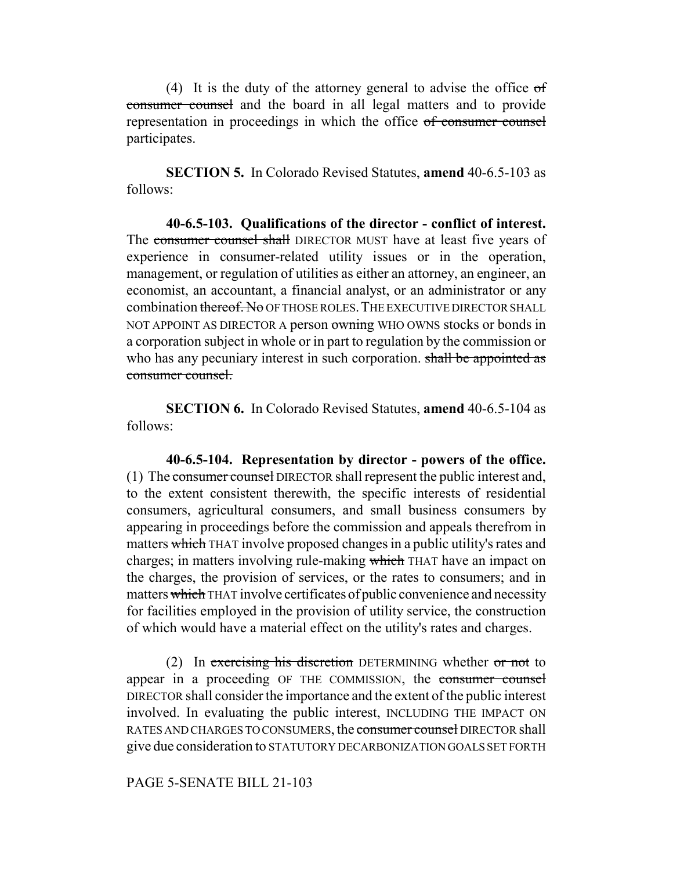(4) It is the duty of the attorney general to advise the office of consumer counsel and the board in all legal matters and to provide representation in proceedings in which the office of consumer counsel participates.

**SECTION 5.** In Colorado Revised Statutes, **amend** 40-6.5-103 as follows:

**40-6.5-103. Qualifications of the director - conflict of interest.** The consumer counsel shall DIRECTOR MUST have at least five years of experience in consumer-related utility issues or in the operation, management, or regulation of utilities as either an attorney, an engineer, an economist, an accountant, a financial analyst, or an administrator or any combination thereof. No OF THOSE ROLES. THE EXECUTIVE DIRECTOR SHALL NOT APPOINT AS DIRECTOR A person owning WHO OWNS stocks or bonds in a corporation subject in whole or in part to regulation by the commission or who has any pecuniary interest in such corporation. shall be appointed as consumer counsel.

**SECTION 6.** In Colorado Revised Statutes, **amend** 40-6.5-104 as follows:

**40-6.5-104. Representation by director - powers of the office.** (1) The consumer counsel DIRECTOR shall represent the public interest and, to the extent consistent therewith, the specific interests of residential consumers, agricultural consumers, and small business consumers by appearing in proceedings before the commission and appeals therefrom in matters which THAT involve proposed changes in a public utility's rates and charges; in matters involving rule-making which THAT have an impact on the charges, the provision of services, or the rates to consumers; and in matters which THAT involve certificates of public convenience and necessity for facilities employed in the provision of utility service, the construction of which would have a material effect on the utility's rates and charges.

(2) In exercising his discretion DETERMINING whether  $or not$  to appear in a proceeding OF THE COMMISSION, the consumer counsel DIRECTOR shall consider the importance and the extent of the public interest involved. In evaluating the public interest, INCLUDING THE IMPACT ON RATES AND CHARGES TO CONSUMERS, the consumer counsel DIRECTOR shall give due consideration to STATUTORY DECARBONIZATION GOALS SET FORTH

## PAGE 5-SENATE BILL 21-103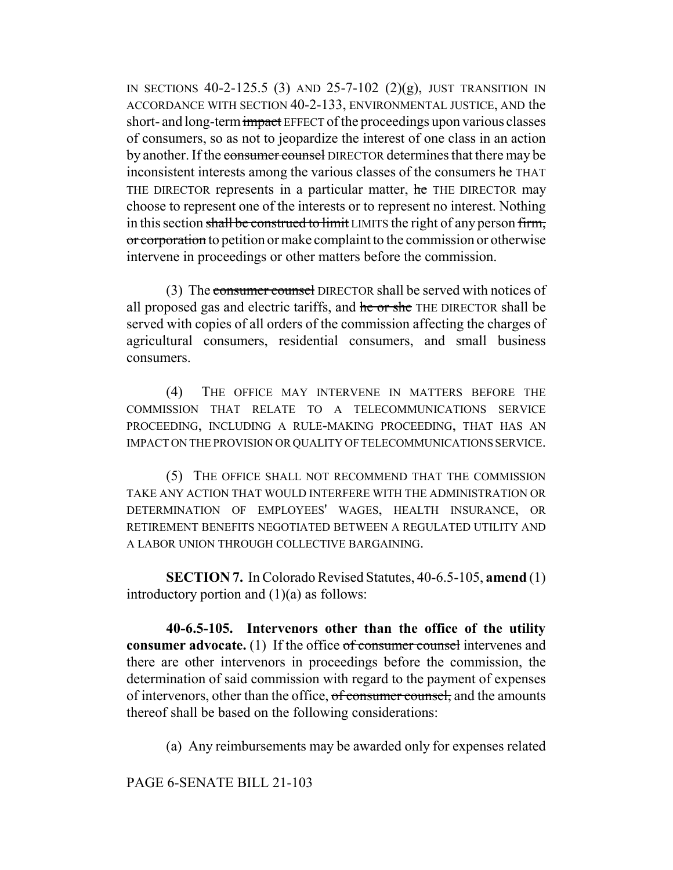IN SECTIONS  $40-2-125.5$  (3) AND  $25-7-102$  (2)(g), JUST TRANSITION IN ACCORDANCE WITH SECTION 40-2-133, ENVIRONMENTAL JUSTICE, AND the short- and long-term impact EFFECT of the proceedings upon various classes of consumers, so as not to jeopardize the interest of one class in an action by another. If the consumer counsel DIRECTOR determines that there may be inconsistent interests among the various classes of the consumers he THAT THE DIRECTOR represents in a particular matter, he THE DIRECTOR may choose to represent one of the interests or to represent no interest. Nothing in this section shall be construed to limit LIMITS the right of any person firm, or corporation to petition or make complaint to the commission or otherwise intervene in proceedings or other matters before the commission.

(3) The consumer counsel DIRECTOR shall be served with notices of all proposed gas and electric tariffs, and he or she THE DIRECTOR shall be served with copies of all orders of the commission affecting the charges of agricultural consumers, residential consumers, and small business consumers.

(4) THE OFFICE MAY INTERVENE IN MATTERS BEFORE THE COMMISSION THAT RELATE TO A TELECOMMUNICATIONS SERVICE PROCEEDING, INCLUDING A RULE-MAKING PROCEEDING, THAT HAS AN IMPACT ON THE PROVISION OR QUALITY OF TELECOMMUNICATIONS SERVICE.

(5) THE OFFICE SHALL NOT RECOMMEND THAT THE COMMISSION TAKE ANY ACTION THAT WOULD INTERFERE WITH THE ADMINISTRATION OR DETERMINATION OF EMPLOYEES' WAGES, HEALTH INSURANCE, OR RETIREMENT BENEFITS NEGOTIATED BETWEEN A REGULATED UTILITY AND A LABOR UNION THROUGH COLLECTIVE BARGAINING.

**SECTION 7.** In Colorado Revised Statutes, 40-6.5-105, **amend** (1) introductory portion and  $(1)(a)$  as follows:

**40-6.5-105. Intervenors other than the office of the utility consumer advocate.** (1) If the office of consumer counsel intervenes and there are other intervenors in proceedings before the commission, the determination of said commission with regard to the payment of expenses of intervenors, other than the office, of consumer counsel, and the amounts thereof shall be based on the following considerations:

(a) Any reimbursements may be awarded only for expenses related

PAGE 6-SENATE BILL 21-103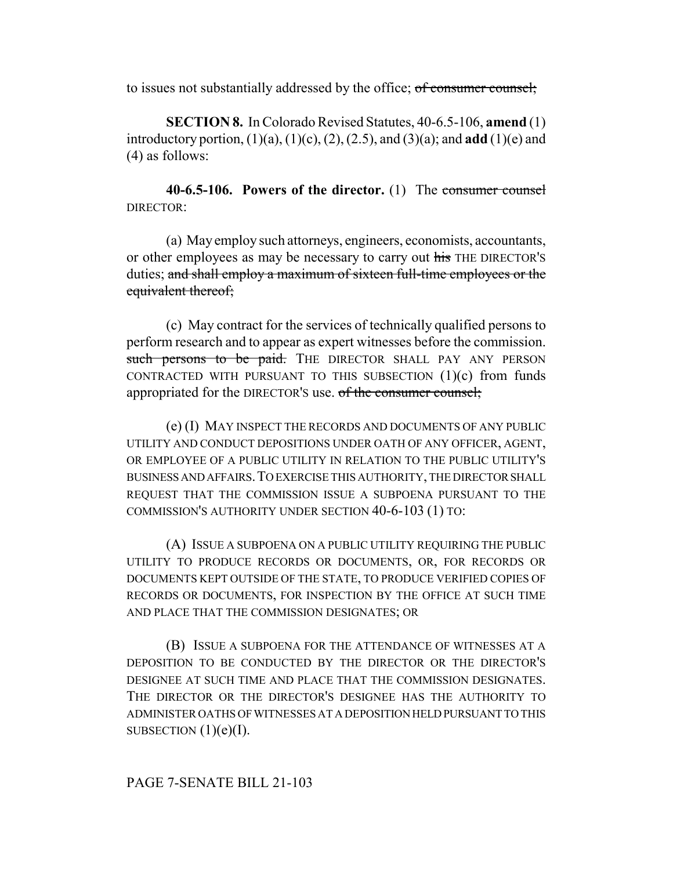to issues not substantially addressed by the office; of consumer counsel;

**SECTION 8.** In Colorado Revised Statutes, 40-6.5-106, **amend** (1) introductory portion, (1)(a), (1)(c), (2), (2.5), and (3)(a); and **add** (1)(e) and (4) as follows:

**40-6.5-106. Powers of the director.** (1) The consumer counsel DIRECTOR:

(a) May employ such attorneys, engineers, economists, accountants, or other employees as may be necessary to carry out his THE DIRECTOR'S duties; and shall employ a maximum of sixteen full-time employees or the equivalent thereof;

(c) May contract for the services of technically qualified persons to perform research and to appear as expert witnesses before the commission. such persons to be paid. THE DIRECTOR SHALL PAY ANY PERSON CONTRACTED WITH PURSUANT TO THIS SUBSECTION (1)(c) from funds appropriated for the DIRECTOR'S use. of the consumer counsel;

(e) (I) MAY INSPECT THE RECORDS AND DOCUMENTS OF ANY PUBLIC UTILITY AND CONDUCT DEPOSITIONS UNDER OATH OF ANY OFFICER, AGENT, OR EMPLOYEE OF A PUBLIC UTILITY IN RELATION TO THE PUBLIC UTILITY'S BUSINESS AND AFFAIRS.TO EXERCISE THIS AUTHORITY, THE DIRECTOR SHALL REQUEST THAT THE COMMISSION ISSUE A SUBPOENA PURSUANT TO THE COMMISSION'S AUTHORITY UNDER SECTION 40-6-103 (1) TO:

(A) ISSUE A SUBPOENA ON A PUBLIC UTILITY REQUIRING THE PUBLIC UTILITY TO PRODUCE RECORDS OR DOCUMENTS, OR, FOR RECORDS OR DOCUMENTS KEPT OUTSIDE OF THE STATE, TO PRODUCE VERIFIED COPIES OF RECORDS OR DOCUMENTS, FOR INSPECTION BY THE OFFICE AT SUCH TIME AND PLACE THAT THE COMMISSION DESIGNATES; OR

(B) ISSUE A SUBPOENA FOR THE ATTENDANCE OF WITNESSES AT A DEPOSITION TO BE CONDUCTED BY THE DIRECTOR OR THE DIRECTOR'S DESIGNEE AT SUCH TIME AND PLACE THAT THE COMMISSION DESIGNATES. THE DIRECTOR OR THE DIRECTOR'S DESIGNEE HAS THE AUTHORITY TO ADMINISTER OATHS OF WITNESSES AT A DEPOSITION HELD PURSUANT TO THIS SUBSECTION  $(1)(e)(I)$ .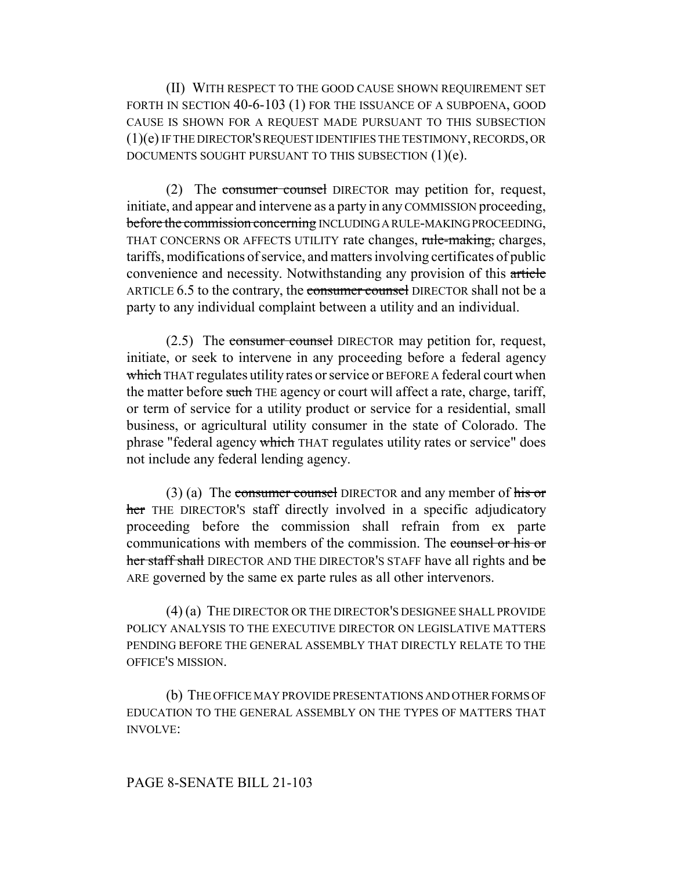(II) WITH RESPECT TO THE GOOD CAUSE SHOWN REQUIREMENT SET FORTH IN SECTION 40-6-103 (1) FOR THE ISSUANCE OF A SUBPOENA, GOOD CAUSE IS SHOWN FOR A REQUEST MADE PURSUANT TO THIS SUBSECTION (1)(e) IF THE DIRECTOR'S REQUEST IDENTIFIES THE TESTIMONY, RECORDS, OR DOCUMENTS SOUGHT PURSUANT TO THIS SUBSECTION (1)(e).

(2) The consumer counsel DIRECTOR may petition for, request, initiate, and appear and intervene as a party in any COMMISSION proceeding, before the commission concerning INCLUDING A RULE-MAKING PROCEEDING, THAT CONCERNS OR AFFECTS UTILITY rate changes, rule-making, charges, tariffs, modifications of service, and matters involving certificates of public convenience and necessity. Notwithstanding any provision of this article ARTICLE 6.5 to the contrary, the consumer counsel DIRECTOR shall not be a party to any individual complaint between a utility and an individual.

(2.5) The consumer counsel DIRECTOR may petition for, request, initiate, or seek to intervene in any proceeding before a federal agency which THAT regulates utility rates or service or BEFORE A federal court when the matter before such THE agency or court will affect a rate, charge, tariff, or term of service for a utility product or service for a residential, small business, or agricultural utility consumer in the state of Colorado. The phrase "federal agency which THAT regulates utility rates or service" does not include any federal lending agency.

 $(3)$  (a) The consumer counsel DIRECTOR and any member of his or her THE DIRECTOR's staff directly involved in a specific adjudicatory proceeding before the commission shall refrain from ex parte communications with members of the commission. The counsel or his or her staff shall DIRECTOR AND THE DIRECTOR'S STAFF have all rights and be ARE governed by the same ex parte rules as all other intervenors.

(4) (a) THE DIRECTOR OR THE DIRECTOR'S DESIGNEE SHALL PROVIDE POLICY ANALYSIS TO THE EXECUTIVE DIRECTOR ON LEGISLATIVE MATTERS PENDING BEFORE THE GENERAL ASSEMBLY THAT DIRECTLY RELATE TO THE OFFICE'S MISSION.

(b) THE OFFICE MAY PROVIDE PRESENTATIONS AND OTHER FORMS OF EDUCATION TO THE GENERAL ASSEMBLY ON THE TYPES OF MATTERS THAT INVOLVE: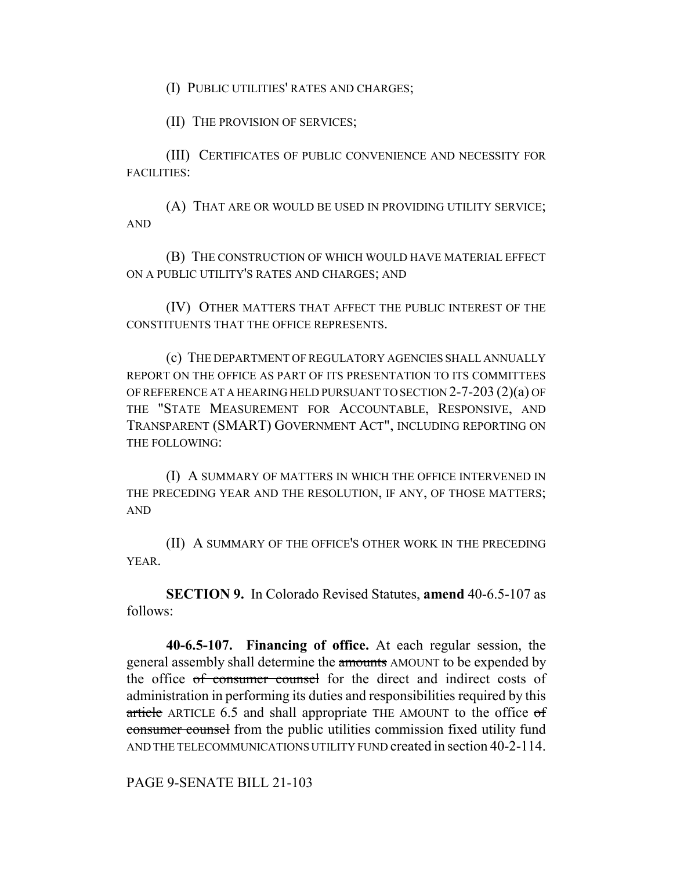(I) PUBLIC UTILITIES' RATES AND CHARGES;

(II) THE PROVISION OF SERVICES;

(III) CERTIFICATES OF PUBLIC CONVENIENCE AND NECESSITY FOR FACILITIES:

(A) THAT ARE OR WOULD BE USED IN PROVIDING UTILITY SERVICE; AND

(B) THE CONSTRUCTION OF WHICH WOULD HAVE MATERIAL EFFECT ON A PUBLIC UTILITY'S RATES AND CHARGES; AND

(IV) OTHER MATTERS THAT AFFECT THE PUBLIC INTEREST OF THE CONSTITUENTS THAT THE OFFICE REPRESENTS.

(c) THE DEPARTMENT OF REGULATORY AGENCIES SHALL ANNUALLY REPORT ON THE OFFICE AS PART OF ITS PRESENTATION TO ITS COMMITTEES OF REFERENCE AT A HEARING HELD PURSUANT TO SECTION 2-7-203 (2)(a) OF THE "STATE MEASUREMENT FOR ACCOUNTABLE, RESPONSIVE, AND TRANSPARENT (SMART) GOVERNMENT ACT", INCLUDING REPORTING ON THE FOLLOWING:

(I) A SUMMARY OF MATTERS IN WHICH THE OFFICE INTERVENED IN THE PRECEDING YEAR AND THE RESOLUTION, IF ANY, OF THOSE MATTERS; AND

(II) A SUMMARY OF THE OFFICE'S OTHER WORK IN THE PRECEDING YEAR.

**SECTION 9.** In Colorado Revised Statutes, **amend** 40-6.5-107 as follows:

**40-6.5-107. Financing of office.** At each regular session, the general assembly shall determine the amounts AMOUNT to be expended by the office of consumer counsel for the direct and indirect costs of administration in performing its duties and responsibilities required by this article ARTICLE  $6.5$  and shall appropriate THE AMOUNT to the office  $\sigma f$ consumer counsel from the public utilities commission fixed utility fund AND THE TELECOMMUNICATIONS UTILITY FUND created in section 40-2-114.

PAGE 9-SENATE BILL 21-103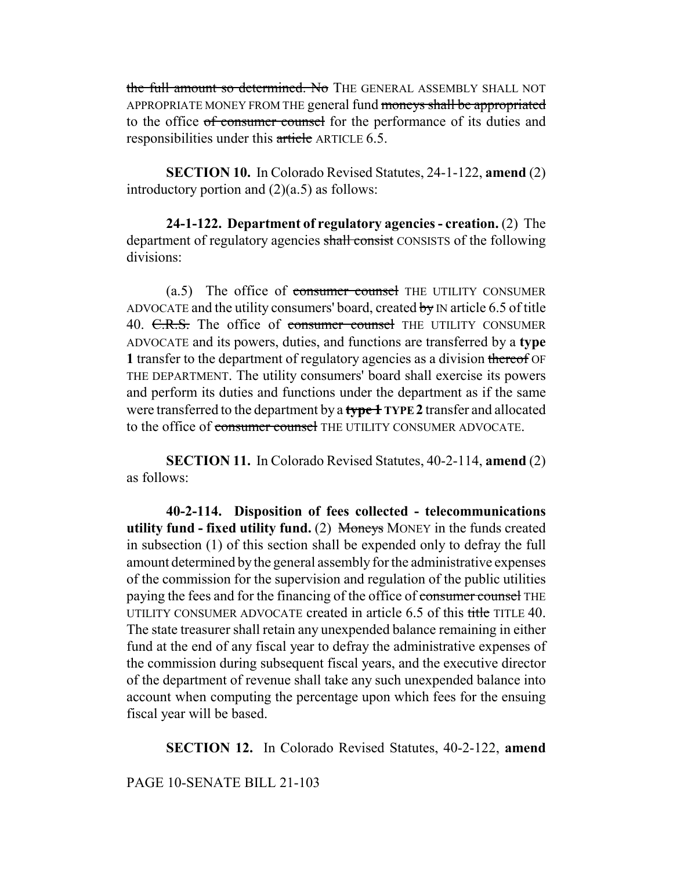the full amount so determined. No THE GENERAL ASSEMBLY SHALL NOT APPROPRIATE MONEY FROM THE general fund moneys shall be appropriated to the office of consumer counsel for the performance of its duties and responsibilities under this article ARTICLE 6.5.

**SECTION 10.** In Colorado Revised Statutes, 24-1-122, **amend** (2) introductory portion and  $(2)(a.5)$  as follows:

**24-1-122. Department of regulatory agencies - creation.** (2) The department of regulatory agencies shall consist CONSISTS of the following divisions:

 $(a.5)$  The office of consumer counsel THE UTILITY CONSUMER ADVOCATE and the utility consumers' board, created by  $N$  article 6.5 of title 40. C.R.S. The office of consumer counsel THE UTILITY CONSUMER ADVOCATE and its powers, duties, and functions are transferred by a **type 1** transfer to the department of regulatory agencies as a division thereof OF THE DEPARTMENT. The utility consumers' board shall exercise its powers and perform its duties and functions under the department as if the same were transferred to the department by a **type 1 TYPE 2** transfer and allocated to the office of consumer counsel THE UTILITY CONSUMER ADVOCATE.

**SECTION 11.** In Colorado Revised Statutes, 40-2-114, **amend** (2) as follows:

**40-2-114. Disposition of fees collected - telecommunications utility fund - fixed utility fund.** (2) Moneys MONEY in the funds created in subsection (1) of this section shall be expended only to defray the full amount determined by the general assembly for the administrative expenses of the commission for the supervision and regulation of the public utilities paying the fees and for the financing of the office of consumer counsel THE UTILITY CONSUMER ADVOCATE created in article 6.5 of this title TITLE 40. The state treasurer shall retain any unexpended balance remaining in either fund at the end of any fiscal year to defray the administrative expenses of the commission during subsequent fiscal years, and the executive director of the department of revenue shall take any such unexpended balance into account when computing the percentage upon which fees for the ensuing fiscal year will be based.

**SECTION 12.** In Colorado Revised Statutes, 40-2-122, **amend**

PAGE 10-SENATE BILL 21-103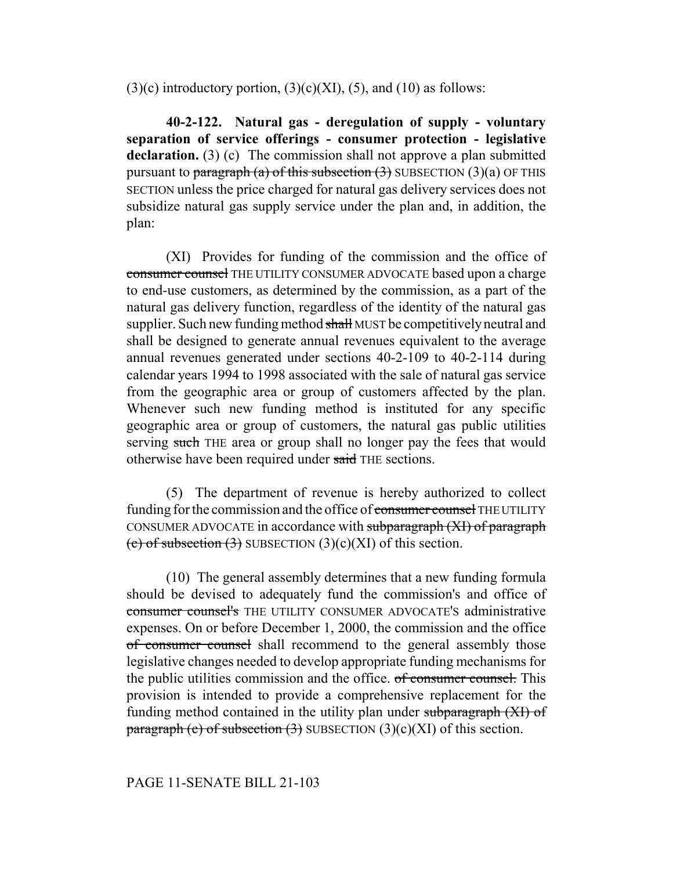$(3)(c)$  introductory portion,  $(3)(c)(XI)$ ,  $(5)$ , and  $(10)$  as follows:

**40-2-122. Natural gas - deregulation of supply - voluntary separation of service offerings - consumer protection - legislative declaration.** (3) (c) The commission shall not approve a plan submitted pursuant to paragraph (a) of this subsection  $(3)$  SUBSECTION  $(3)(a)$  OF THIS SECTION unless the price charged for natural gas delivery services does not subsidize natural gas supply service under the plan and, in addition, the plan:

(XI) Provides for funding of the commission and the office of consumer counsel THE UTILITY CONSUMER ADVOCATE based upon a charge to end-use customers, as determined by the commission, as a part of the natural gas delivery function, regardless of the identity of the natural gas supplier. Such new funding method shall MUST be competitively neutral and shall be designed to generate annual revenues equivalent to the average annual revenues generated under sections 40-2-109 to 40-2-114 during calendar years 1994 to 1998 associated with the sale of natural gas service from the geographic area or group of customers affected by the plan. Whenever such new funding method is instituted for any specific geographic area or group of customers, the natural gas public utilities serving such THE area or group shall no longer pay the fees that would otherwise have been required under said THE sections.

(5) The department of revenue is hereby authorized to collect funding for the commission and the office of consumer counsel THE UTILITY CONSUMER ADVOCATE in accordance with subparagraph (XI) of paragraph (c) of subsection  $(3)$  SUBSECTION  $(3)(c)(XI)$  of this section.

(10) The general assembly determines that a new funding formula should be devised to adequately fund the commission's and office of consumer counsel's THE UTILITY CONSUMER ADVOCATE'S administrative expenses. On or before December 1, 2000, the commission and the office of consumer counsel shall recommend to the general assembly those legislative changes needed to develop appropriate funding mechanisms for the public utilities commission and the office. of consumer counsel. This provision is intended to provide a comprehensive replacement for the funding method contained in the utility plan under subparagraph (XI) of paragraph (c) of subsection  $(3)$  SUBSECTION  $(3)(c)(XI)$  of this section.

## PAGE 11-SENATE BILL 21-103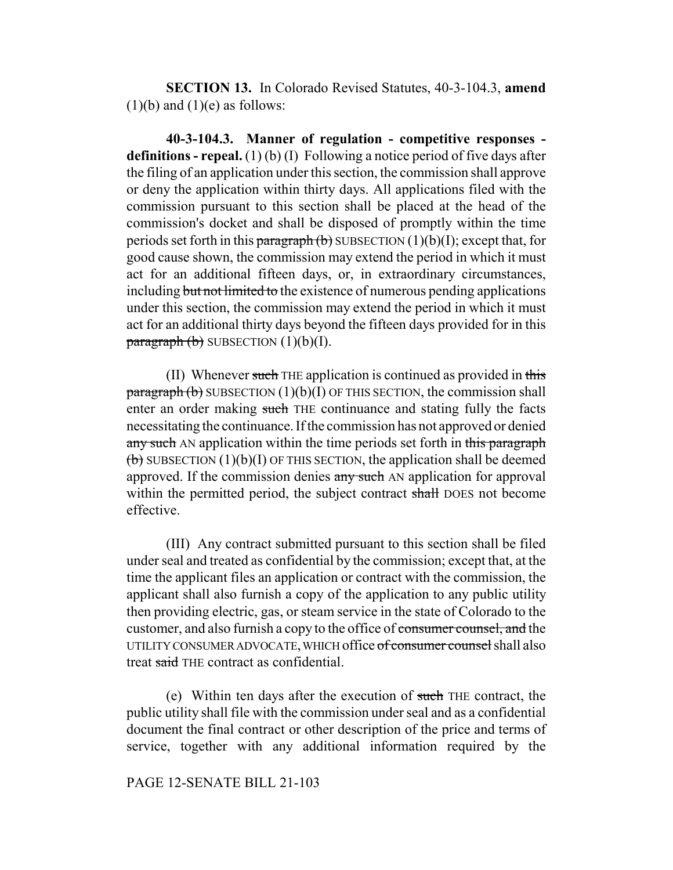**SECTION 13.** In Colorado Revised Statutes, 40-3-104.3, **amend**  $(1)(b)$  and  $(1)(e)$  as follows:

**40-3-104.3. Manner of regulation - competitive responses definitions - repeal.** (1) (b) (I) Following a notice period of five days after the filing of an application under this section, the commission shall approve or deny the application within thirty days. All applications filed with the commission pursuant to this section shall be placed at the head of the commission's docket and shall be disposed of promptly within the time periods set forth in this paragraph  $(b)$  SUBSECTION  $(1)(b)(I)$ ; except that, for good cause shown, the commission may extend the period in which it must act for an additional fifteen days, or, in extraordinary circumstances, including but not limited to the existence of numerous pending applications under this section, the commission may extend the period in which it must act for an additional thirty days beyond the fifteen days provided for in this  $\frac{\text{parameter}}{\text{b}}$  (b) SUBSECTION (1)(b)(I).

(II) Whenever such THE application is continued as provided in this  $\frac{\text{parameter}}{\text{bar}}$  (b) SUBSECTION (1)(b)(I) OF THIS SECTION, the commission shall enter an order making such THE continuance and stating fully the facts necessitating the continuance. If the commission has not approved or denied any such AN application within the time periods set forth in this paragraph  $\overline{b}$  SUBSECTION (1)(b)(I) OF THIS SECTION, the application shall be deemed approved. If the commission denies any such AN application for approval within the permitted period, the subject contract shall DOES not become effective.

(III) Any contract submitted pursuant to this section shall be filed under seal and treated as confidential by the commission; except that, at the time the applicant files an application or contract with the commission, the applicant shall also furnish a copy of the application to any public utility then providing electric, gas, or steam service in the state of Colorado to the customer, and also furnish a copy to the office of consumer counsel, and the UTILITY CONSUMER ADVOCATE, WHICH office of consumer counsel shall also treat said THE contract as confidential.

(e) Within ten days after the execution of such THE contract, the public utility shall file with the commission under seal and as a confidential document the final contract or other description of the price and terms of service, together with any additional information required by the

## PAGE 12-SENATE BILL 21-103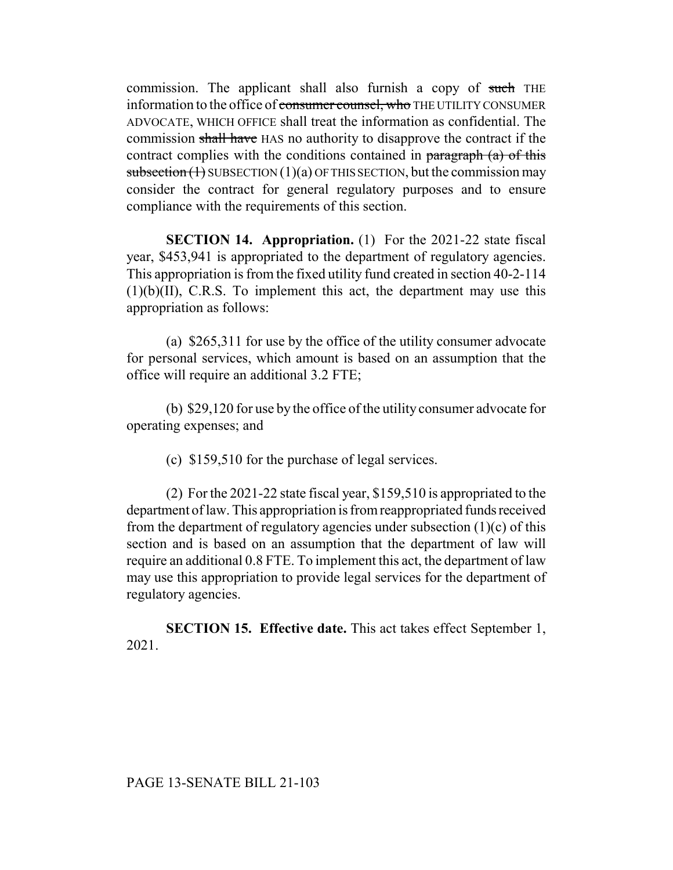commission. The applicant shall also furnish a copy of such THE information to the office of consumer counsel, who THE UTILITY CONSUMER ADVOCATE, WHICH OFFICE shall treat the information as confidential. The commission shall have HAS no authority to disapprove the contract if the contract complies with the conditions contained in paragraph  $(a)$  of this subsection  $(1)$  SUBSECTION  $(1)(a)$  OF THIS SECTION, but the commission may consider the contract for general regulatory purposes and to ensure compliance with the requirements of this section.

**SECTION 14. Appropriation.** (1) For the 2021-22 state fiscal year, \$453,941 is appropriated to the department of regulatory agencies. This appropriation is from the fixed utility fund created in section 40-2-114 (1)(b)(II), C.R.S. To implement this act, the department may use this appropriation as follows:

(a) \$265,311 for use by the office of the utility consumer advocate for personal services, which amount is based on an assumption that the office will require an additional 3.2 FTE;

(b) \$29,120 for use by the office of the utility consumer advocate for operating expenses; and

(c) \$159,510 for the purchase of legal services.

(2) For the 2021-22 state fiscal year, \$159,510 is appropriated to the department of law. This appropriation is from reappropriated funds received from the department of regulatory agencies under subsection  $(1)(c)$  of this section and is based on an assumption that the department of law will require an additional 0.8 FTE. To implement this act, the department of law may use this appropriation to provide legal services for the department of regulatory agencies.

**SECTION 15. Effective date.** This act takes effect September 1, 2021.